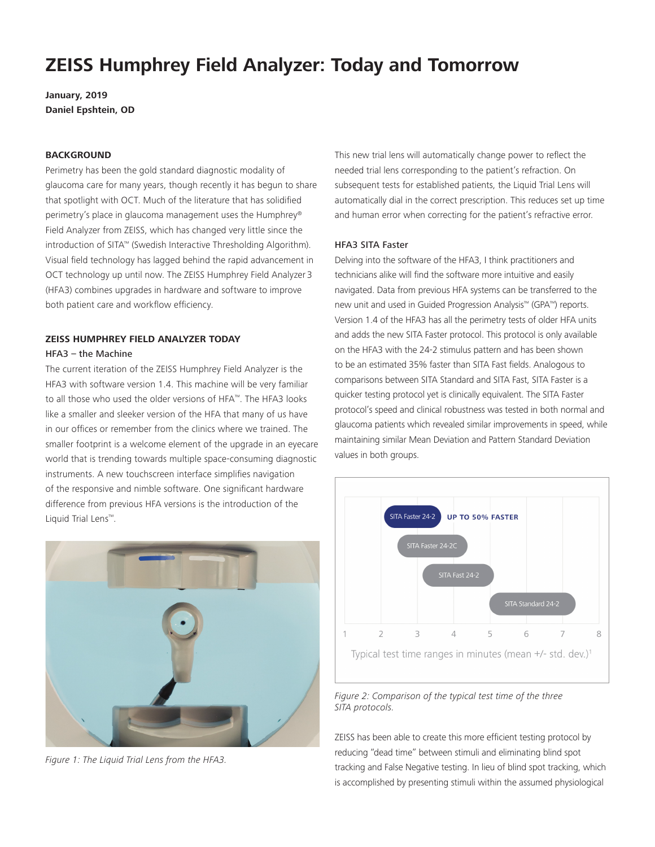# **ZEISS Humphrey Field Analyzer: Today and Tomorrow**

**January, 2019 Daniel Epshtein, OD**

#### **BACKGROUND**

Perimetry has been the gold standard diagnostic modality of glaucoma care for many years, though recently it has begun to share that spotlight with OCT. Much of the literature that has solidified perimetry's place in glaucoma management uses the Humphrey® Field Analyzer from ZEISS, which has changed very little since the introduction of SITA™ (Swedish Interactive Thresholding Algorithm). Visual field technology has lagged behind the rapid advancement in OCT technology up until now. The ZEISS Humphrey Field Analyzer 3 (HFA3) combines upgrades in hardware and software to improve both patient care and workflow efficiency.

# **ZEISS HUMPHREY FIELD ANALYZER TODAY**

#### HFA3 – the Machine

The current iteration of the ZEISS Humphrey Field Analyzer is the HFA3 with software version 1.4. This machine will be very familiar to all those who used the older versions of HFA™. The HFA3 looks like a smaller and sleeker version of the HFA that many of us have in our offices or remember from the clinics where we trained. The smaller footprint is a welcome element of the upgrade in an eyecare world that is trending towards multiple space-consuming diagnostic instruments. A new touchscreen interface simplifies navigation of the responsive and nimble software. One significant hardware difference from previous HFA versions is the introduction of the Liquid Trial Lens™.



*Figure 1: The Liquid Trial Lens from the HFA3.*

This new trial lens will automatically change power to reflect the needed trial lens corresponding to the patient's refraction. On subsequent tests for established patients, the Liquid Trial Lens will automatically dial in the correct prescription. This reduces set up time and human error when correcting for the patient's refractive error.

#### HFA3 SITA Faster

Delving into the software of the HFA3, I think practitioners and technicians alike will find the software more intuitive and easily navigated. Data from previous HFA systems can be transferred to the new unit and used in Guided Progression Analysis™ (GPA™) reports. Version 1.4 of the HFA3 has all the perimetry tests of older HFA units and adds the new SITA Faster protocol. This protocol is only available on the HFA3 with the 24-2 stimulus pattern and has been shown to be an estimated 35% faster than SITA Fast fields. Analogous to comparisons between SITA Standard and SITA Fast, SITA Faster is a quicker testing protocol yet is clinically equivalent. The SITA Faster protocol's speed and clinical robustness was tested in both normal and glaucoma patients which revealed similar improvements in speed, while *A* maintaining similar Mean Deviation and Pattern Standard Deviation values in both groups.



*Figure 2: Comparison of the typical test time of the three SITA protocols.*

ZEISS has been able to create this more efficient testing protocol by reducing "dead time" between stimuli and eliminating blind spot tracking and False Negative testing. In lieu of blind spot tracking, which is accomplished by presenting stimuli within the assumed physiological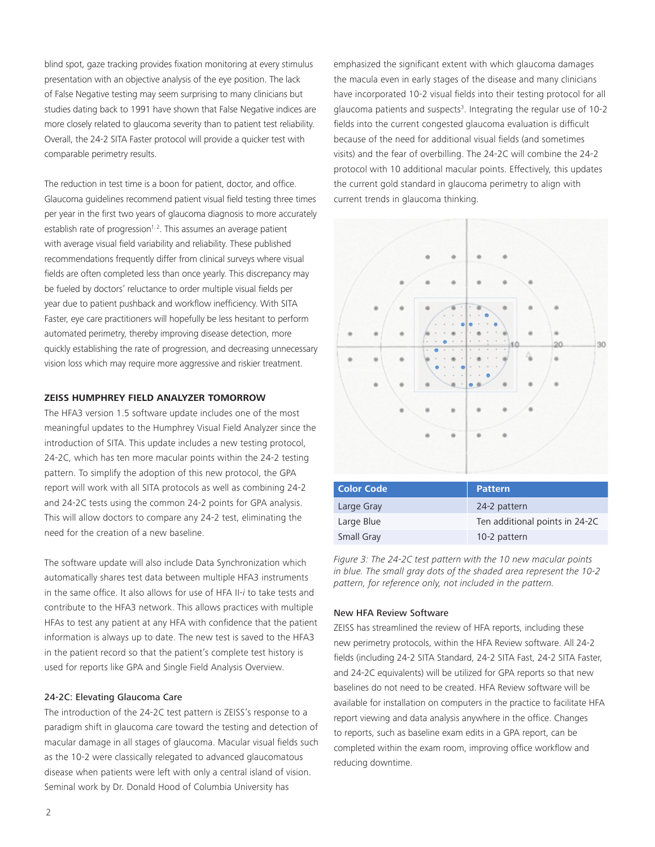blind spot, gaze tracking provides fixation monitoring at every stimulus presentation with an objective analysis of the eye position. The lack of False Negative testing may seem surprising to many clinicians but studies dating back to 1991 have shown that False Negative indices are more closely related to glaucoma severity than to patient test reliability. Overall, the 24-2 SITA Faster protocol will provide a quicker test with comparable perimetry results.

The reduction in test time is a boon for patient, doctor, and office. Glaucoma guidelines recommend patient visual field testing three times per year in the first two years of glaucoma diagnosis to more accurately establish rate of progression<sup> $1, 2$ </sup>. This assumes an average patient with average visual field variability and reliability. These published recommendations frequently differ from clinical surveys where visual fields are often completed less than once yearly. This discrepancy may be fueled by doctors' reluctance to order multiple visual fields per year due to patient pushback and workflow inefficiency. With SITA Faster, eye care practitioners will hopefully be less hesitant to perform automated perimetry, thereby improving disease detection, more quickly establishing the rate of progression, and decreasing unnecessary vision loss which may require more aggressive and riskier treatment.

#### **ZEISS HUMPHREY FIELD ANALYZER TOMORROW**

The HFA3 version 1.5 software update includes one of the most meaningful updates to the Humphrey Visual Field Analyzer since the introduction of SITA. This update includes a new testing protocol, 24-2C, which has ten more macular points within the 24-2 testing pattern. To simplify the adoption of this new protocol, the GPA report will work with all SITA protocols as well as combining 24-2 and 24-2C tests using the common 24-2 points for GPA analysis. This will allow doctors to compare any 24-2 test, eliminating the need for the creation of a new baseline.

The software update will also include Data Synchronization which automatically shares test data between multiple HFA3 instruments in the same office. It also allows for use of HFA II-*i* to take tests and contribute to the HFA3 network. This allows practices with multiple HFAs to test any patient at any HFA with confidence that the patient information is always up to date. The new test is saved to the HFA3 in the patient record so that the patient's complete test history is used for reports like GPA and Single Field Analysis Overview.

#### 24-2C: Elevating Glaucoma Care

The introduction of the 24-2C test pattern is ZEISS's response to a paradigm shift in glaucoma care toward the testing and detection of macular damage in all stages of glaucoma. Macular visual fields such as the 10-2 were classically relegated to advanced glaucomatous disease when patients were left with only a central island of vision. Seminal work by Dr. Donald Hood of Columbia University has

emphasized the significant extent with which glaucoma damages the macula even in early stages of the disease and many clinicians have incorporated 10-2 visual fields into their testing protocol for all glaucoma patients and suspects<sup>3</sup>. Integrating the regular use of 10-2 fields into the current congested glaucoma evaluation is difficult because of the need for additional visual fields (and sometimes visits) and the fear of overbilling. The 24-2C will combine the 24-2 protocol with 10 additional macular points. Effectively, this updates the current gold standard in glaucoma perimetry to align with current trends in glaucoma thinking.



*Figure 3: The 24-2C test pattern with the 10 new macular points in blue. The small gray dots of the shaded area represent the 10-2 pattern, for reference only, not included in the pattern.*

Small Gray 10-2 pattern

#### New HFA Review Software

ZEISS has streamlined the review of HFA reports, including these new perimetry protocols, within the HFA Review software. All 24-2 fields (including 24-2 SITA Standard, 24-2 SITA Fast, 24-2 SITA Faster, and 24-2C equivalents) will be utilized for GPA reports so that new baselines do not need to be created. HFA Review software will be available for installation on computers in the practice to facilitate HFA report viewing and data analysis anywhere in the office. Changes to reports, such as baseline exam edits in a GPA report, can be completed within the exam room, improving office workflow and reducing downtime.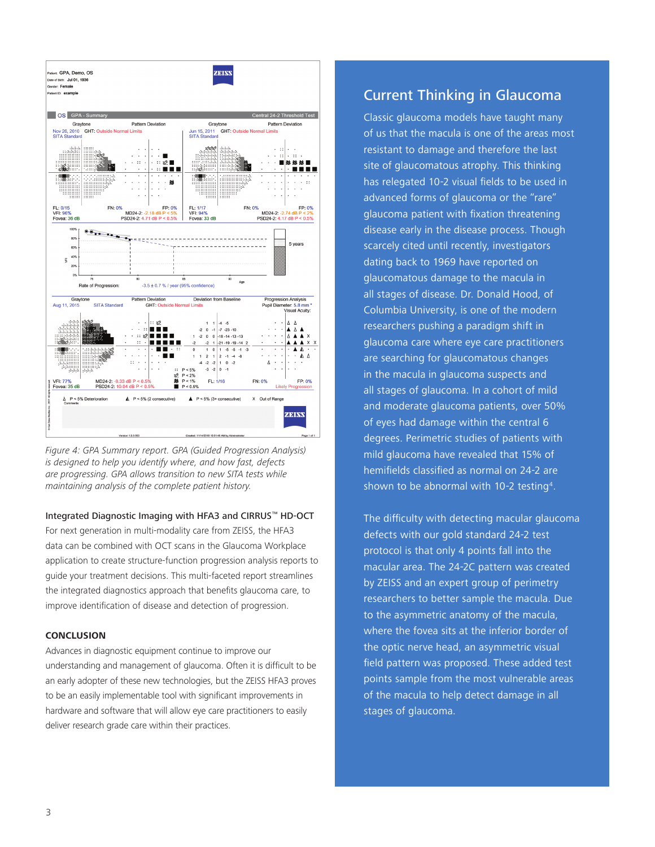

*Figure 4: GPA Summary report. GPA (Guided Progression Analysis) is designed to help you identify where, and how fast, defects are progressing. GPA allows transition to new SITA tests while maintaining analysis of the complete patient history.*

#### Integrated Diagnostic Imaging with HFA3 and CIRRUS™ HD-OCT

For next generation in multi-modality care from ZEISS, the HFA3 data can be combined with OCT scans in the Glaucoma Workplace application to create structure-function progression analysis reports to guide your treatment decisions. This multi-faceted report streamlines the integrated diagnostics approach that benefits glaucoma care, to improve identification of disease and detection of progression.

### **CONCLUSION**

Advances in diagnostic equipment continue to improve our understanding and management of glaucoma. Often it is difficult to be an early adopter of these new technologies, but the ZEISS HFA3 proves to be an easily implementable tool with significant improvements in hardware and software that will allow eye care practitioners to easily deliver research grade care within their practices.

## Current Thinking in Glaucoma

Classic glaucoma models have taught many of us that the macula is one of the areas most resistant to damage and therefore the last site of glaucomatous atrophy. This thinking has relegated 10-2 visual fields to be used in advanced forms of glaucoma or the "rare" glaucoma patient with fixation threatening disease early in the disease process. Though scarcely cited until recently, investigators dating back to 1969 have reported on glaucomatous damage to the macula in all stages of disease. Dr. Donald Hood, of Columbia University, is one of the modern researchers pushing a paradigm shift in glaucoma care where eye care practitioners are searching for glaucomatous changes in the macula in glaucoma suspects and all stages of glaucoma. In a cohort of mild and moderate glaucoma patients, over 50% of eyes had damage within the central 6 degrees. Perimetric studies of patients with mild glaucoma have revealed that 15% of hemifields classified as normal on 24-2 are shown to be abnormal with 10-2 testing<sup>4</sup>.

The difficulty with detecting macular glaucoma defects with our gold standard 24-2 test protocol is that only 4 points fall into the macular area. The 24-2C pattern was created by ZEISS and an expert group of perimetry researchers to better sample the macula. Due to the asymmetric anatomy of the macula, where the fovea sits at the inferior border of the optic nerve head, an asymmetric visual field pattern was proposed. These added test points sample from the most vulnerable areas of the macula to help detect damage in all stages of glaucoma.